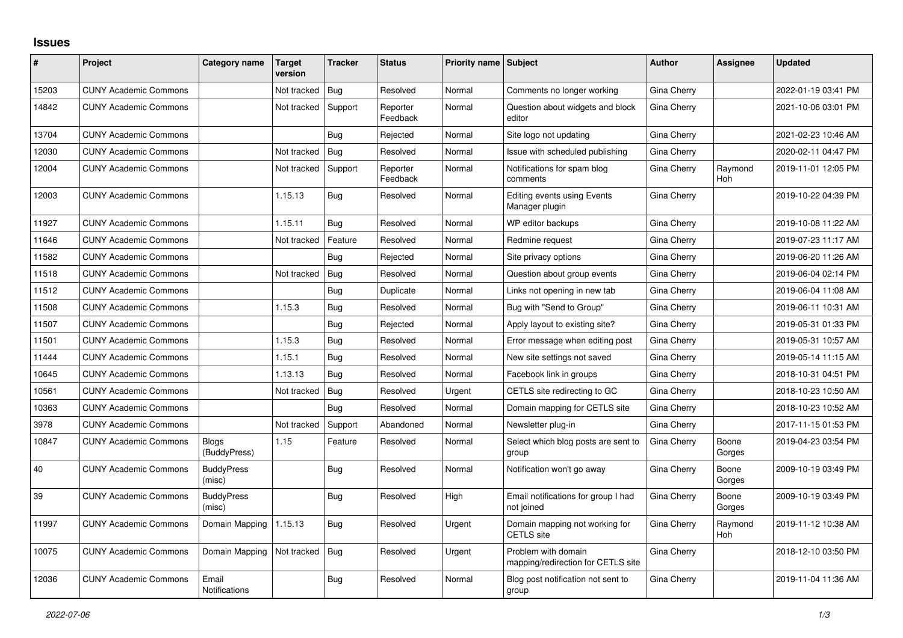## **Issues**

| #     | Project                      | Category name                 | <b>Target</b><br>version | <b>Tracker</b> | <b>Status</b>        | Priority name Subject |                                                           | <b>Author</b> | Assignee              | <b>Updated</b>      |
|-------|------------------------------|-------------------------------|--------------------------|----------------|----------------------|-----------------------|-----------------------------------------------------------|---------------|-----------------------|---------------------|
| 15203 | <b>CUNY Academic Commons</b> |                               | Not tracked              | <b>Bug</b>     | Resolved             | Normal                | Comments no longer working                                | Gina Cherry   |                       | 2022-01-19 03:41 PM |
| 14842 | <b>CUNY Academic Commons</b> |                               | Not tracked              | Support        | Reporter<br>Feedback | Normal                | Question about widgets and block<br>editor                | Gina Cherry   |                       | 2021-10-06 03:01 PM |
| 13704 | <b>CUNY Academic Commons</b> |                               |                          | Bug            | Rejected             | Normal                | Site logo not updating                                    | Gina Cherry   |                       | 2021-02-23 10:46 AM |
| 12030 | <b>CUNY Academic Commons</b> |                               | Not tracked              | <b>Bug</b>     | Resolved             | Normal                | Issue with scheduled publishing                           | Gina Cherry   |                       | 2020-02-11 04:47 PM |
| 12004 | <b>CUNY Academic Commons</b> |                               | Not tracked              | Support        | Reporter<br>Feedback | Normal                | Notifications for spam blog<br>comments                   | Gina Cherry   | Raymond<br>Hoh        | 2019-11-01 12:05 PM |
| 12003 | <b>CUNY Academic Commons</b> |                               | 1.15.13                  | <b>Bug</b>     | Resolved             | Normal                | <b>Editing events using Events</b><br>Manager plugin      | Gina Cherry   |                       | 2019-10-22 04:39 PM |
| 11927 | <b>CUNY Academic Commons</b> |                               | 1.15.11                  | <b>Bug</b>     | Resolved             | Normal                | WP editor backups                                         | Gina Cherry   |                       | 2019-10-08 11:22 AM |
| 11646 | <b>CUNY Academic Commons</b> |                               | Not tracked              | Feature        | Resolved             | Normal                | Redmine request                                           | Gina Cherry   |                       | 2019-07-23 11:17 AM |
| 11582 | <b>CUNY Academic Commons</b> |                               |                          | Bug            | Rejected             | Normal                | Site privacy options                                      | Gina Cherry   |                       | 2019-06-20 11:26 AM |
| 11518 | <b>CUNY Academic Commons</b> |                               | Not tracked              | Bug            | Resolved             | Normal                | Question about group events                               | Gina Cherry   |                       | 2019-06-04 02:14 PM |
| 11512 | <b>CUNY Academic Commons</b> |                               |                          | Bug            | Duplicate            | Normal                | Links not opening in new tab                              | Gina Cherry   |                       | 2019-06-04 11:08 AM |
| 11508 | <b>CUNY Academic Commons</b> |                               | 1.15.3                   | Bug            | Resolved             | Normal                | Bug with "Send to Group"                                  | Gina Cherry   |                       | 2019-06-11 10:31 AM |
| 11507 | <b>CUNY Academic Commons</b> |                               |                          | Bug            | Rejected             | Normal                | Apply layout to existing site?                            | Gina Cherry   |                       | 2019-05-31 01:33 PM |
| 11501 | <b>CUNY Academic Commons</b> |                               | 1.15.3                   | Bug            | Resolved             | Normal                | Error message when editing post                           | Gina Cherry   |                       | 2019-05-31 10:57 AM |
| 11444 | <b>CUNY Academic Commons</b> |                               | 1.15.1                   | <b>Bug</b>     | Resolved             | Normal                | New site settings not saved                               | Gina Cherry   |                       | 2019-05-14 11:15 AM |
| 10645 | <b>CUNY Academic Commons</b> |                               | 1.13.13                  | Bug            | Resolved             | Normal                | Facebook link in groups                                   | Gina Cherry   |                       | 2018-10-31 04:51 PM |
| 10561 | <b>CUNY Academic Commons</b> |                               | Not tracked              | Bug            | Resolved             | Urgent                | CETLS site redirecting to GC                              | Gina Cherry   |                       | 2018-10-23 10:50 AM |
| 10363 | <b>CUNY Academic Commons</b> |                               |                          | Bug            | Resolved             | Normal                | Domain mapping for CETLS site                             | Gina Cherry   |                       | 2018-10-23 10:52 AM |
| 3978  | <b>CUNY Academic Commons</b> |                               | Not tracked              | Support        | Abandoned            | Normal                | Newsletter plug-in                                        | Gina Cherry   |                       | 2017-11-15 01:53 PM |
| 10847 | <b>CUNY Academic Commons</b> | <b>Blogs</b><br>(BuddyPress)  | 1.15                     | Feature        | Resolved             | Normal                | Select which blog posts are sent to<br>group              | Gina Cherry   | Boone<br>Gorges       | 2019-04-23 03:54 PM |
| 40    | <b>CUNY Academic Commons</b> | <b>BuddyPress</b><br>(misc)   |                          | <b>Bug</b>     | Resolved             | Normal                | Notification won't go away                                | Gina Cherry   | Boone<br>Gorges       | 2009-10-19 03:49 PM |
| 39    | <b>CUNY Academic Commons</b> | <b>BuddyPress</b><br>(misc)   |                          | Bug            | Resolved             | High                  | Email notifications for group I had<br>not joined         | Gina Cherry   | Boone<br>Gorges       | 2009-10-19 03:49 PM |
| 11997 | <b>CUNY Academic Commons</b> | Domain Mapping                | 1.15.13                  | <b>Bug</b>     | Resolved             | Urgent                | Domain mapping not working for<br><b>CETLS</b> site       | Gina Cherry   | Raymond<br><b>Hoh</b> | 2019-11-12 10:38 AM |
| 10075 | <b>CUNY Academic Commons</b> | Domain Mapping                | Not tracked              | Bug            | Resolved             | Urgent                | Problem with domain<br>mapping/redirection for CETLS site | Gina Cherry   |                       | 2018-12-10 03:50 PM |
| 12036 | <b>CUNY Academic Commons</b> | Email<br><b>Notifications</b> |                          | Bug            | Resolved             | Normal                | Blog post notification not sent to<br>group               | Gina Cherry   |                       | 2019-11-04 11:36 AM |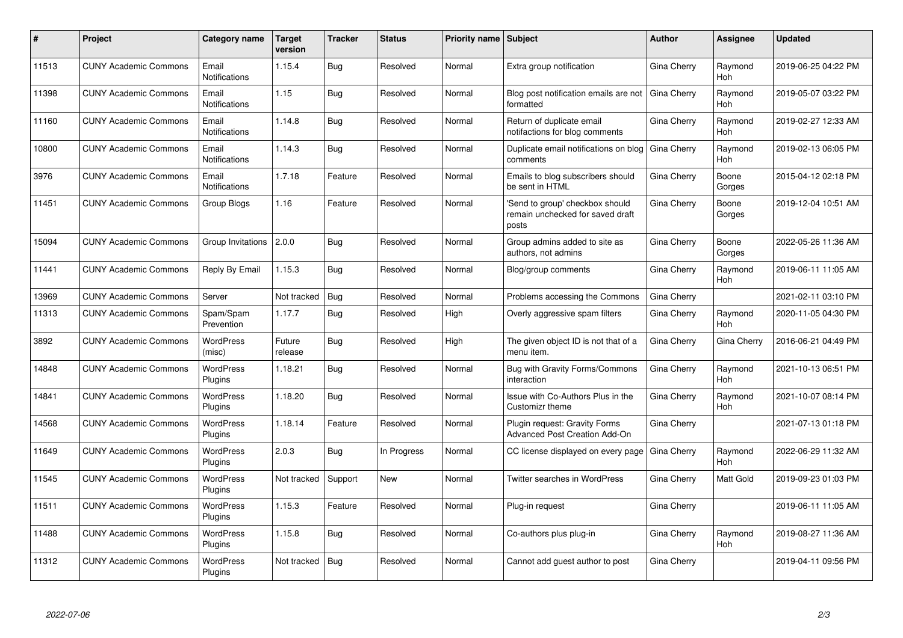| ∦     | Project                      | Category name                 | <b>Target</b><br>version | <b>Tracker</b> | <b>Status</b> | <b>Priority name Subject</b> |                                                                              | Author      | Assignee        | <b>Updated</b>      |
|-------|------------------------------|-------------------------------|--------------------------|----------------|---------------|------------------------------|------------------------------------------------------------------------------|-------------|-----------------|---------------------|
| 11513 | <b>CUNY Academic Commons</b> | Email<br><b>Notifications</b> | 1.15.4                   | Bug            | Resolved      | Normal                       | Extra group notification                                                     | Gina Cherry | Raymond<br>Hoh  | 2019-06-25 04:22 PM |
| 11398 | <b>CUNY Academic Commons</b> | Email<br><b>Notifications</b> | 1.15                     | Bug            | Resolved      | Normal                       | Blog post notification emails are not<br>formatted                           | Gina Cherry | Raymond<br>Hoh  | 2019-05-07 03:22 PM |
| 11160 | <b>CUNY Academic Commons</b> | Email<br>Notifications        | 1.14.8                   | Bug            | Resolved      | Normal                       | Return of duplicate email<br>notifactions for blog comments                  | Gina Cherry | Raymond<br>Hoh  | 2019-02-27 12:33 AM |
| 10800 | <b>CUNY Academic Commons</b> | Email<br>Notifications        | 1.14.3                   | Bug            | Resolved      | Normal                       | Duplicate email notifications on blog<br>comments                            | Gina Cherry | Raymond<br>Hoh  | 2019-02-13 06:05 PM |
| 3976  | <b>CUNY Academic Commons</b> | Email<br><b>Notifications</b> | 1.7.18                   | Feature        | Resolved      | Normal                       | Emails to blog subscribers should<br>be sent in HTML                         | Gina Cherry | Boone<br>Gorges | 2015-04-12 02:18 PM |
| 11451 | <b>CUNY Academic Commons</b> | Group Blogs                   | 1.16                     | Feature        | Resolved      | Normal                       | 'Send to group' checkbox should<br>remain unchecked for saved draft<br>posts | Gina Cherry | Boone<br>Gorges | 2019-12-04 10:51 AM |
| 15094 | <b>CUNY Academic Commons</b> | Group Invitations   2.0.0     |                          | Bug            | Resolved      | Normal                       | Group admins added to site as<br>authors, not admins                         | Gina Cherry | Boone<br>Gorges | 2022-05-26 11:36 AM |
| 11441 | <b>CUNY Academic Commons</b> | Reply By Email                | 1.15.3                   | Bug            | Resolved      | Normal                       | Blog/group comments                                                          | Gina Cherry | Raymond<br>Hoh  | 2019-06-11 11:05 AM |
| 13969 | <b>CUNY Academic Commons</b> | Server                        | Not tracked              | Bug            | Resolved      | Normal                       | Problems accessing the Commons                                               | Gina Cherry |                 | 2021-02-11 03:10 PM |
| 11313 | <b>CUNY Academic Commons</b> | Spam/Spam<br>Prevention       | 1.17.7                   | Bug            | Resolved      | High                         | Overly aggressive spam filters                                               | Gina Cherry | Raymond<br>Hoh  | 2020-11-05 04:30 PM |
| 3892  | <b>CUNY Academic Commons</b> | <b>WordPress</b><br>(misc)    | Future<br>release        | Bug            | Resolved      | High                         | The given object ID is not that of a<br>menu item.                           | Gina Cherry | Gina Cherry     | 2016-06-21 04:49 PM |
| 14848 | <b>CUNY Academic Commons</b> | <b>WordPress</b><br>Plugins   | 1.18.21                  | Bug            | Resolved      | Normal                       | Bug with Gravity Forms/Commons<br>interaction                                | Gina Cherry | Raymond<br>Hoh  | 2021-10-13 06:51 PM |
| 14841 | <b>CUNY Academic Commons</b> | <b>WordPress</b><br>Plugins   | 1.18.20                  | Bug            | Resolved      | Normal                       | Issue with Co-Authors Plus in the<br>Customizr theme                         | Gina Cherry | Raymond<br>Hoh  | 2021-10-07 08:14 PM |
| 14568 | <b>CUNY Academic Commons</b> | <b>WordPress</b><br>Plugins   | 1.18.14                  | Feature        | Resolved      | Normal                       | Plugin request: Gravity Forms<br><b>Advanced Post Creation Add-On</b>        | Gina Cherry |                 | 2021-07-13 01:18 PM |
| 11649 | <b>CUNY Academic Commons</b> | <b>WordPress</b><br>Plugins   | 2.0.3                    | Bug            | In Progress   | Normal                       | CC license displayed on every page                                           | Gina Cherry | Raymond<br>Hoh  | 2022-06-29 11:32 AM |
| 11545 | <b>CUNY Academic Commons</b> | <b>WordPress</b><br>Plugins   | Not tracked              | Support        | <b>New</b>    | Normal                       | <b>Twitter searches in WordPress</b>                                         | Gina Cherry | Matt Gold       | 2019-09-23 01:03 PM |
| 11511 | <b>CUNY Academic Commons</b> | <b>WordPress</b><br>Plugins   | 1.15.3                   | Feature        | Resolved      | Normal                       | Plug-in request                                                              | Gina Cherry |                 | 2019-06-11 11:05 AM |
| 11488 | <b>CUNY Academic Commons</b> | <b>WordPress</b><br>Plugins   | 1.15.8                   | Bug            | Resolved      | Normal                       | Co-authors plus plug-in                                                      | Gina Cherry | Raymond<br>Hoh  | 2019-08-27 11:36 AM |
| 11312 | <b>CUNY Academic Commons</b> | <b>WordPress</b><br>Plugins   | Not tracked              | Bug            | Resolved      | Normal                       | Cannot add guest author to post                                              | Gina Cherry |                 | 2019-04-11 09:56 PM |